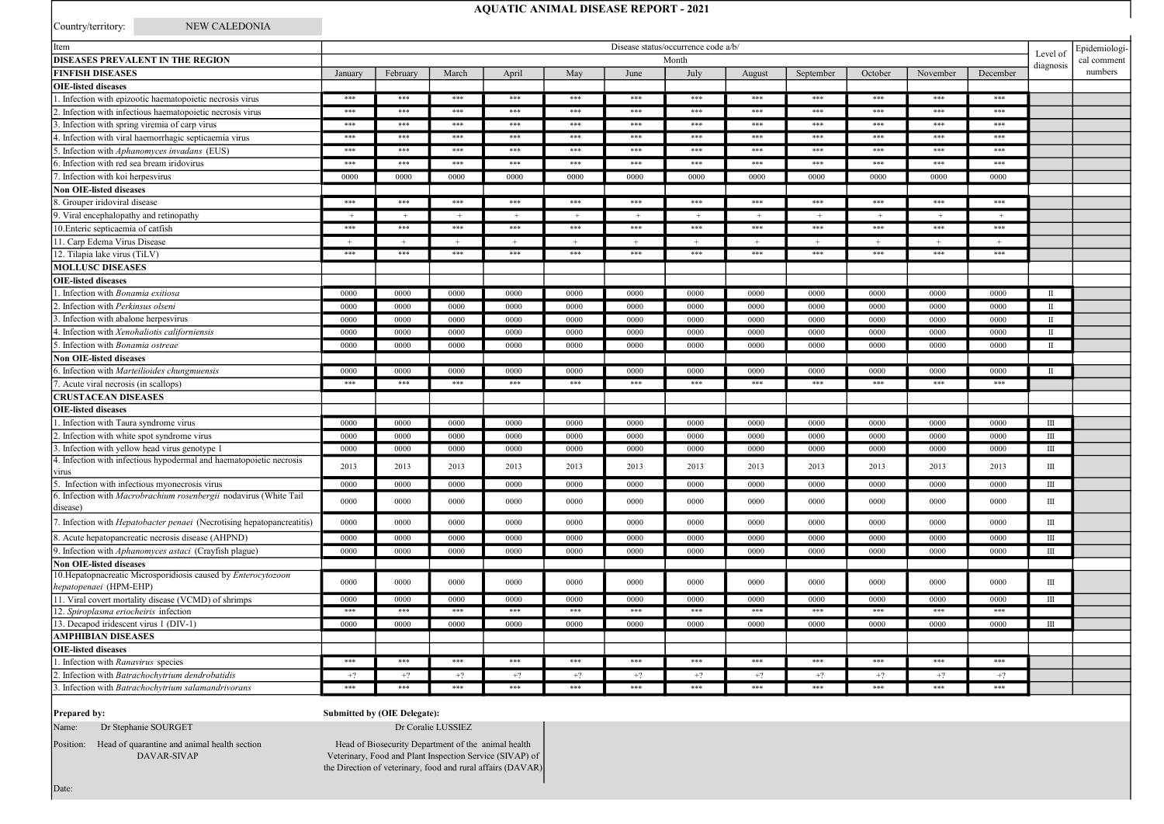# AQUATIC ANIMAL DISEASE REPORT - 2021

Country/territory: NEW CALEDONIA

| Item                                                                                     | Disease status/occurrence code a/b/ |          |       |         |      |         |          |             | Epidemiologi- |         |          |          |              |         |
|------------------------------------------------------------------------------------------|-------------------------------------|----------|-------|---------|------|---------|----------|-------------|---------------|---------|----------|----------|--------------|---------|
| <b>DISEASES PREVALENT IN THE REGION</b>                                                  | Month                               |          |       |         |      |         | Level of | cal comment |               |         |          |          |              |         |
| <b>FINFISH DISEASES</b>                                                                  | January                             | February | March | April   | May  | June    | July     | August      | September     | October | November | December | diagnosis    | numbers |
| <b>OIE-listed diseases</b>                                                               |                                     |          |       |         |      |         |          |             |               |         |          |          |              |         |
| 1. Infection with epizootic haematopoietic necrosis virus                                | ***                                 | ***      | $***$ | ***     | ***  | ***     | $***$    | ***         | $***$         | ***     | $***$    | $***$    |              |         |
| 2. Infection with infectious haematopoietic necrosis virus                               | ***                                 | ***      | $***$ | ***     | ***  | ***     | $* * *$  | ***         | ***           | $* * *$ | ***      | ***      |              |         |
| 3. Infection with spring viremia of carp virus                                           | ***                                 | $* * *$  | ***   | $* * *$ | ***  | $* * *$ | $* * *$  | $***$       | ***           | ***     | $* * *$  | $* * *$  |              |         |
| 4. Infection with viral haemorrhagic septicaemia virus                                   | ***                                 | ***      | ***   | ***     | ***  | $* * *$ | ***      | ***         | ***           | ***     | ***      | ***      |              |         |
| 5. Infection with Aphanomyces invadans (EUS)                                             | $***$                               | ***      | $***$ | ***     | ***  | ***     | $***$    | ***         | ***           | ***     | ***      | ***      |              |         |
| 6. Infection with red sea bream iridovirus                                               | ***                                 | ***      | $***$ | ***     | ***  | ***     | $***$    | ***         | ***           | ***     | ***      | ***      |              |         |
| 7. Infection with koi herpesvirus                                                        | 0000                                | 0000     | 0000  | 0000    | 0000 | 0000    | 0000     | 0000        | 0000          | 0000    | 0000     | 0000     |              |         |
| Non OIE-listed diseases                                                                  |                                     |          |       |         |      |         |          |             |               |         |          |          |              |         |
| 8. Grouper iridoviral disease                                                            | ***                                 | ***      | $***$ | ***     | ***  | ***     | $***$    | ***         | ***           | ***     | ***      | ***      |              |         |
| 9. Viral encephalopathy and retinopathy                                                  |                                     |          |       |         |      |         |          |             |               |         |          |          |              |         |
| 10. Enteric septicaemia of catfish                                                       | ***                                 | ***      | $***$ | ***     | ***  | $***$   | $***$    | ***         | ***           | ***     | ***      | ***      |              |         |
| 11. Carp Edema Virus Disease                                                             |                                     |          |       |         |      |         |          |             |               |         |          |          |              |         |
| 12. Tilapia lake virus (TiLV)                                                            | ***                                 | ***      | $***$ | ***     | ***  | $***$   | $***$    | ***         | ***           | $***$   | ***      | ***      |              |         |
| <b>MOLLUSC DISEASES</b>                                                                  |                                     |          |       |         |      |         |          |             |               |         |          |          |              |         |
| <b>OIE-listed diseases</b>                                                               |                                     |          |       |         |      |         |          |             |               |         |          |          |              |         |
| 1. Infection with Bonamia exitiosa                                                       | 0000                                | 0000     | 0000  | 0000    | 0000 | 0000    | 0000     | 0000        | 0000          | 0000    | 0000     | 0000     | $\mathbf{H}$ |         |
| 2. Infection with Perkinsus olseni                                                       | 0000                                | 0000     | 0000  | 0000    | 0000 | 0000    | 0000     | 0000        | 0000          | 0000    | 0000     | 0000     | $\mathbf{H}$ |         |
| 3. Infection with abalone herpesvirus                                                    | 0000                                | 0000     | 0000  | 0000    | 0000 | 0000    | 0000     | 0000        | 0000          | 0000    | 0000     | 0000     | $\mathbf{I}$ |         |
| 4. Infection with Xenohaliotis californiensis                                            | 0000                                | 0000     | 0000  | 0000    | 0000 | 0000    | 0000     | 0000        | 0000          | 0000    | 0000     | 0000     | $\mathbf{I}$ |         |
| 5. Infection with Bonamia ostreae                                                        | 0000                                | 0000     | 0000  | 0000    | 0000 | 0000    | 0000     | 0000        | 0000          | 0000    | 0000     | 0000     | Ш            |         |
| <b>Non OIE-listed diseases</b>                                                           |                                     |          |       |         |      |         |          |             |               |         |          |          |              |         |
| 6. Infection with Marteilioides chungmuensis                                             | 0000                                | 0000     | 0000  | 0000    | 0000 | 0000    | 0000     | 0000        | 0000          | 0000    | 0000     | 0000     | $\mathbb{I}$ |         |
| 7. Acute viral necrosis (in scallops)                                                    | ***                                 | ***      | $***$ | ***     | ***  | ***     | ***      | ***         | ***           | ***     | ***      | ***      |              |         |
| <b>CRUSTACEAN DISEASES</b>                                                               |                                     |          |       |         |      |         |          |             |               |         |          |          |              |         |
| <b>OIE-listed diseases</b>                                                               |                                     |          |       |         |      |         |          |             |               |         |          |          |              |         |
| 1. Infection with Taura syndrome virus                                                   | 0000                                | 0000     | 0000  | 0000    | 0000 | 0000    | 0000     | 0000        | 0000          | 0000    | 0000     | 0000     | Ш            |         |
| 2. Infection with white spot syndrome virus                                              | 0000                                | 0000     | 0000  | 0000    | 0000 | 0000    | 0000     | 0000        | 0000          | 0000    | 0000     | 0000     | Ш            |         |
| 3. Infection with yellow head virus genotype 1                                           | 0000                                | 0000     | 0000  | 0000    | 0000 | 0000    | 0000     | 0000        | 0000          | 0000    | 0000     | 0000     | Ш            |         |
| 4. Infection with infectious hypodermal and haematopoietic necrosis                      |                                     |          |       |         |      |         |          |             |               |         |          |          |              |         |
| virus                                                                                    | 2013                                | 2013     | 2013  | 2013    | 2013 | 2013    | 2013     | 2013        | 2013          | 2013    | 2013     | 2013     | $\mathbf{I}$ |         |
| 5. Infection with infectious myonecrosis virus                                           | 0000                                | 0000     | 0000  | 0000    | 0000 | 0000    | 0000     | 0000        | 0000          | 0000    | 0000     | 0000     | Ш            |         |
| 6. Infection with Macrobrachium rosenbergii nodavirus (White Tail                        |                                     |          |       |         |      |         |          |             |               |         |          |          |              |         |
| disease)                                                                                 | 0000                                | 0000     | 0000  | 0000    | 0000 | 0000    | 0000     | 0000        | 0000          | 0000    | 0000     | 0000     | Ш            |         |
| 7. Infection with <i>Hepatobacter penaei</i> (Necrotising hepatopancreatitis)            | 0000                                | 0000     | 0000  | 0000    | 0000 | 0000    | 0000     | 0000        | 0000          | 0000    | 0000     | 0000     | $\rm III$    |         |
| 8. Acute hepatopancreatic necrosis disease (AHPND)                                       | 0000                                | 0000     | 0000  | 0000    | 0000 | 0000    | 0000     | 0000        | 0000          | 0000    | 0000     | 0000     | $\mathbf{I}$ |         |
| 9. Infection with Aphanomyces astaci (Crayfish plague)                                   | 0000                                | 0000     | 0000  | 0000    | 0000 | 0000    | 0000     | 0000        | 0000          | 0000    | 0000     | 0000     | Ш            |         |
| <b>Non OIE-listed diseases</b>                                                           |                                     |          |       |         |      |         |          |             |               |         |          |          |              |         |
| 10. Hepatopnacreatic Microsporidiosis caused by Enterocytozoon<br>hepatopenaei (HPM-EHP) | 0000                                | 0000     | 0000  | 0000    | 0000 | 0000    | 0000     | 0000        | 0000          | 0000    | 0000     | 0000     | Ш            |         |
| 11. Viral covert mortality disease (VCMD) of shrimps                                     | 0000                                | 0000     | 0000  | 0000    | 0000 | 0000    | 0000     | 0000        | 0000          | 0000    | 0000     | 0000     | $\mathbf{H}$ |         |
| 12. Spiroplasma eriocheiris infection                                                    | ***                                 | ***      | ***   | ***     | ***  | ***     | ***      | ***         | ***           | ***     | ***      | ***      |              |         |
| 13. Decapod iridescent virus 1 (DIV-1)                                                   | 0000                                | 0000     | 0000  | 0000    | 0000 | 0000    | 0000     | 0000        | 0000          | 0000    | 0000     | 0000     | Ш            |         |
| <b>AMPHIBIAN DISEASES</b>                                                                |                                     |          |       |         |      |         |          |             |               |         |          |          |              |         |
| <b>OIE-listed diseases</b>                                                               |                                     |          |       |         |      |         |          |             |               |         |          |          |              |         |
| 1. Infection with Ranavirus species                                                      | ***                                 | $***$    | $***$ | $* * *$ | ***  | $* * *$ | ***      | ***         | ***           | ***     | $* * *$  | ***      |              |         |
| 2. Infection with Batrachochytrium dendrobatidis                                         | $+2$                                | $+2$     | $+2$  | $+?$    | $+?$ | $+?$    | $+2$     | $+?$        | $+2$          | $+?$    | $+?$     | $+2$     |              |         |
| 3. Infection with Batrachochytrium salamandrivorans                                      | $***$                               | $***$    | $***$ | $***$   | ***  | $***$   | $***$    | $***$       | $***$         | $* * *$ | $***$    | $***$    |              |         |

### Prepared by:

Date:

# Submitted by (OIE Delegate):

Name: Dr Stephanie SOURGET

Position: Head of quarantine and animal health section DAVAR-SIVAP

Head of Biosecurity Department of the animal health Veterinary, Food and Plant Inspection Service (SIVAP) of the Direction of veterinary, food and rural affairs (DAVAR)

Dr Coralie LUSSIEZ